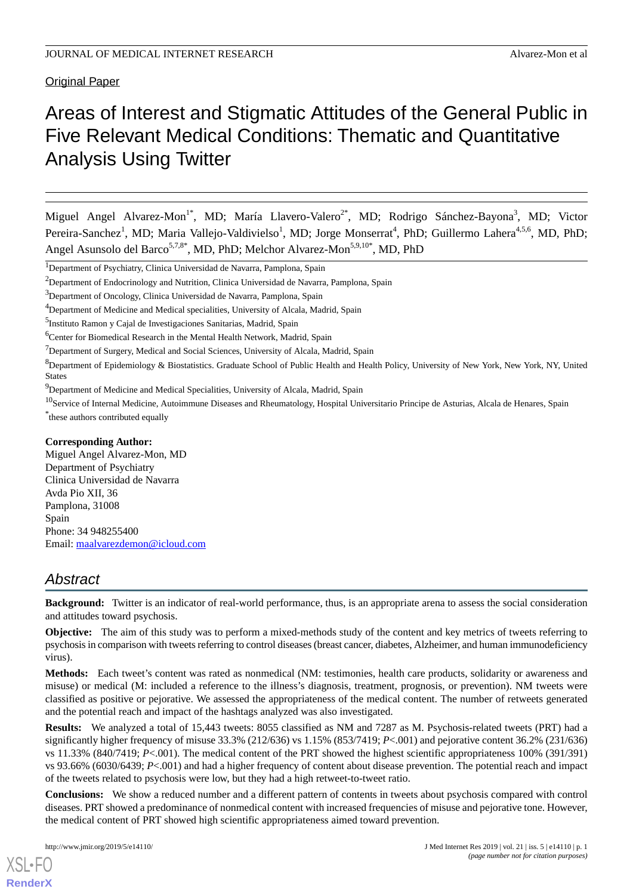Original Paper

# Areas of Interest and Stigmatic Attitudes of the General Public in Five Relevant Medical Conditions: Thematic and Quantitative Analysis Using Twitter

Miguel Angel Alvarez-Mon<sup>1\*</sup>, MD; María Llavero-Valero<sup>2\*</sup>, MD; Rodrigo Sánchez-Bayona<sup>3</sup>, MD; Victor Pereira-Sanchez<sup>1</sup>, MD; Maria Vallejo-Valdivielso<sup>1</sup>, MD; Jorge Monserrat<sup>4</sup>, PhD; Guillermo Lahera<sup>4,5,6</sup>, MD, PhD; Angel Asunsolo del Barco<sup>5,7,8\*</sup>, MD, PhD; Melchor Alvarez-Mon<sup>5,9,10\*</sup>, MD, PhD

<sup>7</sup>Department of Surgery, Medical and Social Sciences, University of Alcala, Madrid, Spain

 ${}^{8}$ Department of Epidemiology & Biostatistics. Graduate School of Public Health and Health Policy, University of New York, New York, NY, United States

<sup>9</sup>Department of Medicine and Medical Specialities, University of Alcala, Madrid, Spain

<sup>10</sup>Service of Internal Medicine, Autoimmune Diseases and Rheumatology, Hospital Universitario Principe de Asturias, Alcala de Henares, Spain \* these authors contributed equally

#### **Corresponding Author:**

Miguel Angel Alvarez-Mon, MD Department of Psychiatry Clinica Universidad de Navarra Avda Pio XII, 36 Pamplona, 31008 Spain Phone: 34 948255400 Email: [maalvarezdemon@icloud.com](mailto:maalvarezdemon@icloud.com)

# *Abstract*

**Background:** Twitter is an indicator of real-world performance, thus, is an appropriate arena to assess the social consideration and attitudes toward psychosis.

**Objective:** The aim of this study was to perform a mixed-methods study of the content and key metrics of tweets referring to psychosis in comparison with tweets referring to control diseases (breast cancer, diabetes, Alzheimer, and human immunodeficiency virus).

**Methods:** Each tweet's content was rated as nonmedical (NM: testimonies, health care products, solidarity or awareness and misuse) or medical (M: included a reference to the illness's diagnosis, treatment, prognosis, or prevention). NM tweets were classified as positive or pejorative. We assessed the appropriateness of the medical content. The number of retweets generated and the potential reach and impact of the hashtags analyzed was also investigated.

**Results:** We analyzed a total of 15,443 tweets: 8055 classified as NM and 7287 as M. Psychosis-related tweets (PRT) had a significantly higher frequency of misuse 33.3% (212/636) vs 1.15% (853/7419; *P*<.001) and pejorative content 36.2% (231/636) vs 11.33% (840/7419; *P*<.001). The medical content of the PRT showed the highest scientific appropriateness 100% (391/391) vs 93.66% (6030/6439; *P*<.001) and had a higher frequency of content about disease prevention. The potential reach and impact of the tweets related to psychosis were low, but they had a high retweet-to-tweet ratio.

**Conclusions:** We show a reduced number and a different pattern of contents in tweets about psychosis compared with control diseases. PRT showed a predominance of nonmedical content with increased frequencies of misuse and pejorative tone. However, the medical content of PRT showed high scientific appropriateness aimed toward prevention.

<sup>&</sup>lt;sup>1</sup>Department of Psychiatry, Clinica Universidad de Navarra, Pamplona, Spain

<sup>&</sup>lt;sup>2</sup>Department of Endocrinology and Nutrition, Clinica Universidad de Navarra, Pamplona, Spain

<sup>&</sup>lt;sup>3</sup>Department of Oncology, Clinica Universidad de Navarra, Pamplona, Spain

<sup>4</sup>Department of Medicine and Medical specialities, University of Alcala, Madrid, Spain

<sup>&</sup>lt;sup>5</sup>Instituto Ramon y Cajal de Investigaciones Sanitarias, Madrid, Spain

<sup>&</sup>lt;sup>6</sup>Center for Biomedical Research in the Mental Health Network, Madrid, Spain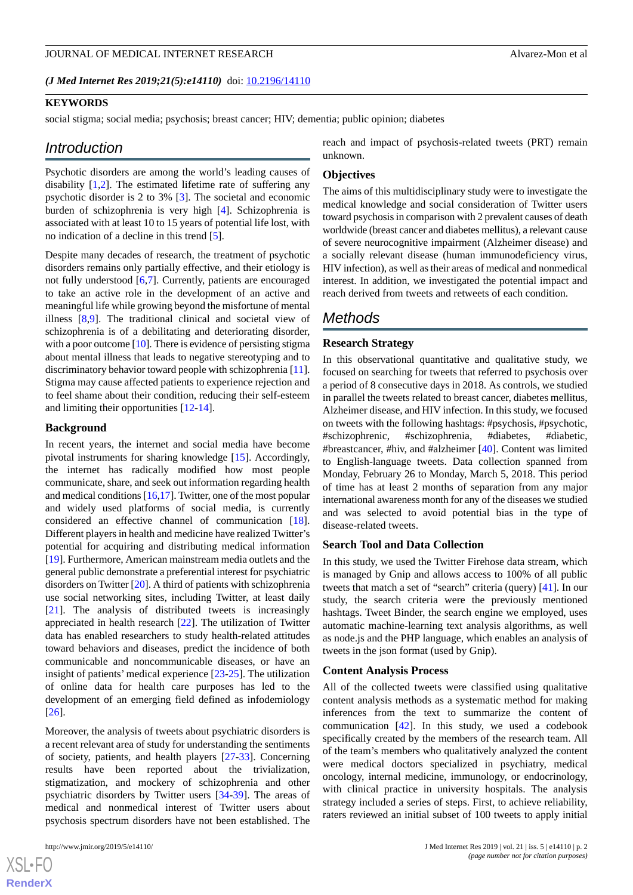(*J Med Internet Res 2019;21(5):e14110*) doi: **[10.2196/14110](http://dx.doi.org/10.2196/14110)** 

# **KEYWORDS**

social stigma; social media; psychosis; breast cancer; HIV; dementia; public opinion; diabetes

#### *Introduction*

Psychotic disorders are among the world's leading causes of disability [\[1](#page-7-0),[2\]](#page-7-1). The estimated lifetime rate of suffering any psychotic disorder is 2 to 3% [[3\]](#page-7-2). The societal and economic burden of schizophrenia is very high [[4](#page-7-3)]. Schizophrenia is associated with at least 10 to 15 years of potential life lost, with no indication of a decline in this trend [\[5](#page-7-4)].

Despite many decades of research, the treatment of psychotic disorders remains only partially effective, and their etiology is not fully understood [\[6](#page-7-5),[7\]](#page-7-6). Currently, patients are encouraged to take an active role in the development of an active and meaningful life while growing beyond the misfortune of mental illness [[8](#page-7-7)[,9](#page-7-8)]. The traditional clinical and societal view of schizophrenia is of a debilitating and deteriorating disorder, with a poor outcome [[10](#page-7-9)]. There is evidence of persisting stigma about mental illness that leads to negative stereotyping and to discriminatory behavior toward people with schizophrenia [[11\]](#page-7-10). Stigma may cause affected patients to experience rejection and to feel shame about their condition, reducing their self-esteem and limiting their opportunities [\[12](#page-8-0)[-14](#page-8-1)].

#### **Background**

In recent years, the internet and social media have become pivotal instruments for sharing knowledge [[15\]](#page-8-2). Accordingly, the internet has radically modified how most people communicate, share, and seek out information regarding health and medical conditions [\[16](#page-8-3)[,17](#page-8-4)]. Twitter, one of the most popular and widely used platforms of social media, is currently considered an effective channel of communication [[18\]](#page-8-5). Different players in health and medicine have realized Twitter's potential for acquiring and distributing medical information [[19\]](#page-8-6). Furthermore, American mainstream media outlets and the general public demonstrate a preferential interest for psychiatric disorders on Twitter [\[20](#page-8-7)]. A third of patients with schizophrenia use social networking sites, including Twitter, at least daily [[21\]](#page-8-8). The analysis of distributed tweets is increasingly appreciated in health research [\[22](#page-8-9)]. The utilization of Twitter data has enabled researchers to study health-related attitudes toward behaviors and diseases, predict the incidence of both communicable and noncommunicable diseases, or have an insight of patients' medical experience [[23-](#page-8-10)[25](#page-8-11)]. The utilization of online data for health care purposes has led to the development of an emerging field defined as infodemiology [[26\]](#page-8-12).

Moreover, the analysis of tweets about psychiatric disorders is a recent relevant area of study for understanding the sentiments of society, patients, and health players [[27-](#page-8-13)[33\]](#page-9-0). Concerning results have been reported about the trivialization, stigmatization, and mockery of schizophrenia and other psychiatric disorders by Twitter users [[34](#page-9-1)[-39](#page-9-2)]. The areas of medical and nonmedical interest of Twitter users about psychosis spectrum disorders have not been established. The

reach and impact of psychosis-related tweets (PRT) remain unknown.

#### **Objectives**

The aims of this multidisciplinary study were to investigate the medical knowledge and social consideration of Twitter users toward psychosis in comparison with 2 prevalent causes of death worldwide (breast cancer and diabetes mellitus), a relevant cause of severe neurocognitive impairment (Alzheimer disease) and a socially relevant disease (human immunodeficiency virus, HIV infection), as well as their areas of medical and nonmedical interest. In addition, we investigated the potential impact and reach derived from tweets and retweets of each condition.

# *Methods*

#### **Research Strategy**

In this observational quantitative and qualitative study, we focused on searching for tweets that referred to psychosis over a period of 8 consecutive days in 2018. As controls, we studied in parallel the tweets related to breast cancer, diabetes mellitus, Alzheimer disease, and HIV infection. In this study, we focused on tweets with the following hashtags: #psychosis, #psychotic, #schizophrenic, #schizophrenia, #diabetes, #diabetic, #breastcancer, #hiv, and #alzheimer [\[40](#page-9-3)]. Content was limited to English-language tweets. Data collection spanned from Monday, February 26 to Monday, March 5, 2018. This period of time has at least 2 months of separation from any major international awareness month for any of the diseases we studied and was selected to avoid potential bias in the type of disease-related tweets.

#### **Search Tool and Data Collection**

In this study, we used the Twitter Firehose data stream, which is managed by Gnip and allows access to 100% of all public tweets that match a set of "search" criteria (query) [\[41](#page-9-4)]. In our study, the search criteria were the previously mentioned hashtags. Tweet Binder, the search engine we employed, uses automatic machine-learning text analysis algorithms, as well as node.js and the PHP language, which enables an analysis of tweets in the json format (used by Gnip).

#### **Content Analysis Process**

All of the collected tweets were classified using qualitative content analysis methods as a systematic method for making inferences from the text to summarize the content of communication [\[42](#page-9-5)]. In this study, we used a codebook specifically created by the members of the research team. All of the team's members who qualitatively analyzed the content were medical doctors specialized in psychiatry, medical oncology, internal medicine, immunology, or endocrinology, with clinical practice in university hospitals. The analysis strategy included a series of steps. First, to achieve reliability, raters reviewed an initial subset of 100 tweets to apply initial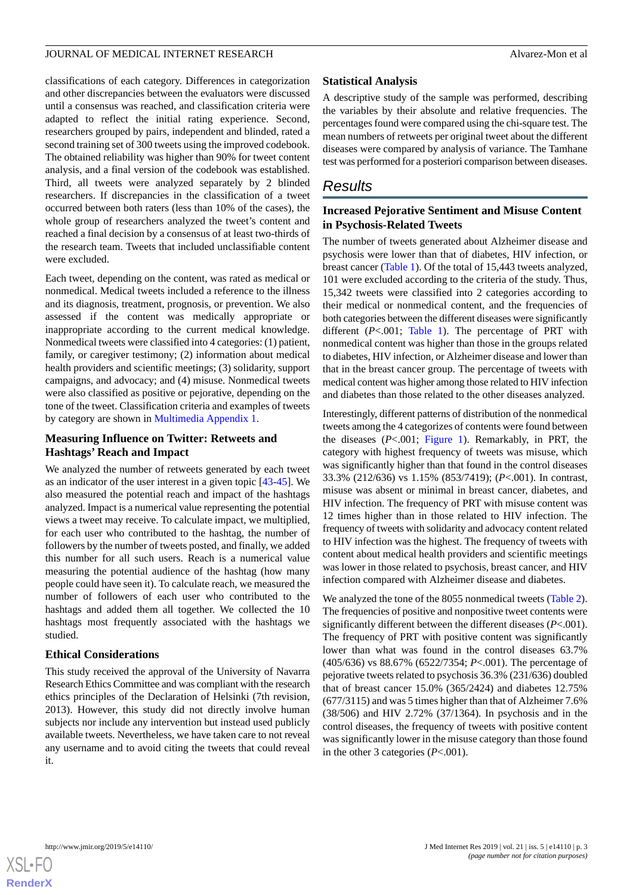classifications of each category. Differences in categorization and other discrepancies between the evaluators were discussed until a consensus was reached, and classification criteria were adapted to reflect the initial rating experience. Second, researchers grouped by pairs, independent and blinded, rated a second training set of 300 tweets using the improved codebook. The obtained reliability was higher than 90% for tweet content analysis, and a final version of the codebook was established. Third, all tweets were analyzed separately by 2 blinded researchers. If discrepancies in the classification of a tweet occurred between both raters (less than 10% of the cases), the whole group of researchers analyzed the tweet's content and reached a final decision by a consensus of at least two-thirds of the research team. Tweets that included unclassifiable content were excluded.

Each tweet, depending on the content, was rated as medical or nonmedical. Medical tweets included a reference to the illness and its diagnosis, treatment, prognosis, or prevention. We also assessed if the content was medically appropriate or inappropriate according to the current medical knowledge. Nonmedical tweets were classified into 4 categories: (1) patient, family, or caregiver testimony; (2) information about medical health providers and scientific meetings; (3) solidarity, support campaigns, and advocacy; and (4) misuse. Nonmedical tweets were also classified as positive or pejorative, depending on the tone of the tweet. Classification criteria and examples of tweets by category are shown in [Multimedia Appendix 1](#page-7-11).

# **Measuring Influence on Twitter: Retweets and Hashtags' Reach and Impact**

We analyzed the number of retweets generated by each tweet as an indicator of the user interest in a given topic [[43](#page-9-6)[-45](#page-9-7)]. We also measured the potential reach and impact of the hashtags analyzed. Impact is a numerical value representing the potential views a tweet may receive. To calculate impact, we multiplied, for each user who contributed to the hashtag, the number of followers by the number of tweets posted, and finally, we added this number for all such users. Reach is a numerical value measuring the potential audience of the hashtag (how many people could have seen it). To calculate reach, we measured the number of followers of each user who contributed to the hashtags and added them all together. We collected the 10 hashtags most frequently associated with the hashtags we studied.

# **Ethical Considerations**

This study received the approval of the University of Navarra Research Ethics Committee and was compliant with the research ethics principles of the Declaration of Helsinki (7th revision, 2013). However, this study did not directly involve human subjects nor include any intervention but instead used publicly available tweets. Nevertheless, we have taken care to not reveal any username and to avoid citing the tweets that could reveal it.

# **Statistical Analysis**

A descriptive study of the sample was performed, describing the variables by their absolute and relative frequencies. The percentages found were compared using the chi-square test. The mean numbers of retweets per original tweet about the different diseases were compared by analysis of variance. The Tamhane test was performed for a posteriori comparison between diseases.

# *Results*

# **Increased Pejorative Sentiment and Misuse Content in Psychosis-Related Tweets**

The number of tweets generated about Alzheimer disease and psychosis were lower than that of diabetes, HIV infection, or breast cancer ([Table 1\)](#page-3-0). Of the total of 15,443 tweets analyzed, 101 were excluded according to the criteria of the study. Thus, 15,342 tweets were classified into 2 categories according to their medical or nonmedical content, and the frequencies of both categories between the different diseases were significantly different (*P<.*001; [Table 1\)](#page-3-0). The percentage of PRT with nonmedical content was higher than those in the groups related to diabetes, HIV infection, or Alzheimer disease and lower than that in the breast cancer group. The percentage of tweets with medical content was higher among those related to HIV infection and diabetes than those related to the other diseases analyzed.

Interestingly, different patterns of distribution of the nonmedical tweets among the 4 categorizes of contents were found between the diseases (*P*<.001; [Figure 1\)](#page-3-1). Remarkably, in PRT, the category with highest frequency of tweets was misuse, which was significantly higher than that found in the control diseases 33.3% (212/636) vs 1.15% (853/7419); (*P*<.001). In contrast, misuse was absent or minimal in breast cancer, diabetes, and HIV infection. The frequency of PRT with misuse content was 12 times higher than in those related to HIV infection. The frequency of tweets with solidarity and advocacy content related to HIV infection was the highest. The frequency of tweets with content about medical health providers and scientific meetings was lower in those related to psychosis, breast cancer, and HIV infection compared with Alzheimer disease and diabetes.

We analyzed the tone of the 8055 nonmedical tweets ([Table 2\)](#page-4-0). The frequencies of positive and nonpositive tweet contents were significantly different between the different diseases (*P*<.001). The frequency of PRT with positive content was significantly lower than what was found in the control diseases 63.7% (405/636) vs 88.67% (6522/7354; *P*<.001). The percentage of pejorative tweets related to psychosis 36.3% (231/636) doubled that of breast cancer 15.0% (365/2424) and diabetes 12.75% (677/3115) and was 5 times higher than that of Alzheimer 7.6% (38/506) and HIV 2.72% (37/1364). In psychosis and in the control diseases, the frequency of tweets with positive content was significantly lower in the misuse category than those found in the other 3 categories (*P*<.001).

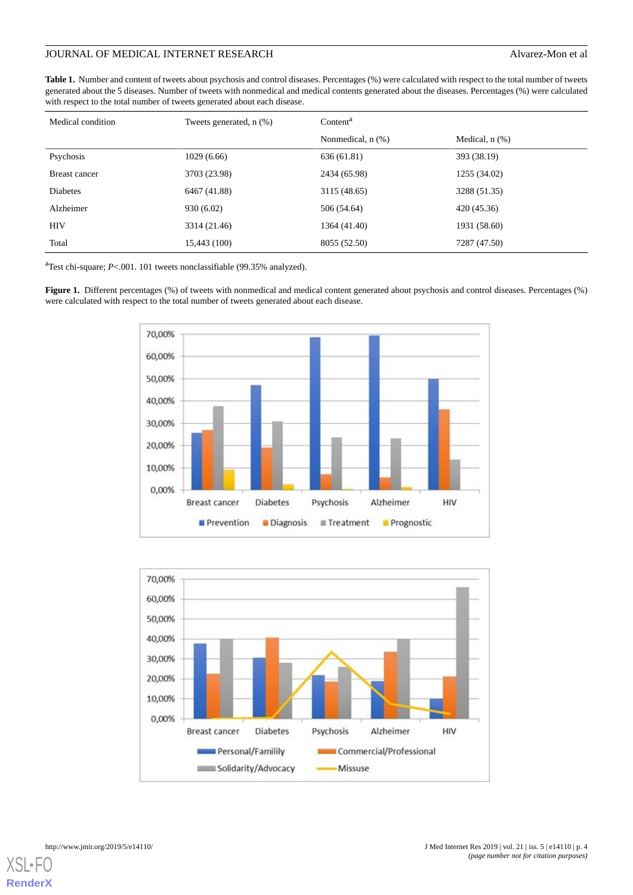# JOURNAL OF MEDICAL INTERNET RESEARCH Alvarez-Mon et al

<span id="page-3-0"></span>**Table 1.** Number and content of tweets about psychosis and control diseases. Percentages (%) were calculated with respect to the total number of tweets generated about the 5 diseases. Number of tweets with nonmedical and medical contents generated about the diseases. Percentages (%) were calculated with respect to the total number of tweets generated about each disease.

| Medical condition    | Tweets generated, $n$ $(\%)$ | Content <sup>a</sup> |                     |  |
|----------------------|------------------------------|----------------------|---------------------|--|
|                      |                              | Nonmedical, n (%)    | Medical, $n$ $(\%)$ |  |
| Psychosis            | 1029(6.66)                   | 636 (61.81)          | 393 (38.19)         |  |
| <b>Breast cancer</b> | 3703 (23.98)                 | 2434 (65.98)         | 1255 (34.02)        |  |
| Diabetes             | 6467 (41.88)                 | 3115 (48.65)         | 3288 (51.35)        |  |
| Alzheimer            | 930 (6.02)                   | 506 (54.64)          | 420 (45.36)         |  |
| <b>HIV</b>           | 3314 (21.46)                 | 1364 (41.40)         | 1931 (58.60)        |  |
| Total                | 15,443 (100)                 | 8055 (52.50)         | 7287 (47.50)        |  |

<span id="page-3-1"></span><sup>a</sup>Test chi-square; *P*<.001. 101 tweets nonclassifiable (99.35% analyzed).

Figure 1. Different percentages (%) of tweets with nonmedical and medical content generated about psychosis and control diseases. Percentages (%) were calculated with respect to the total number of tweets generated about each disease.



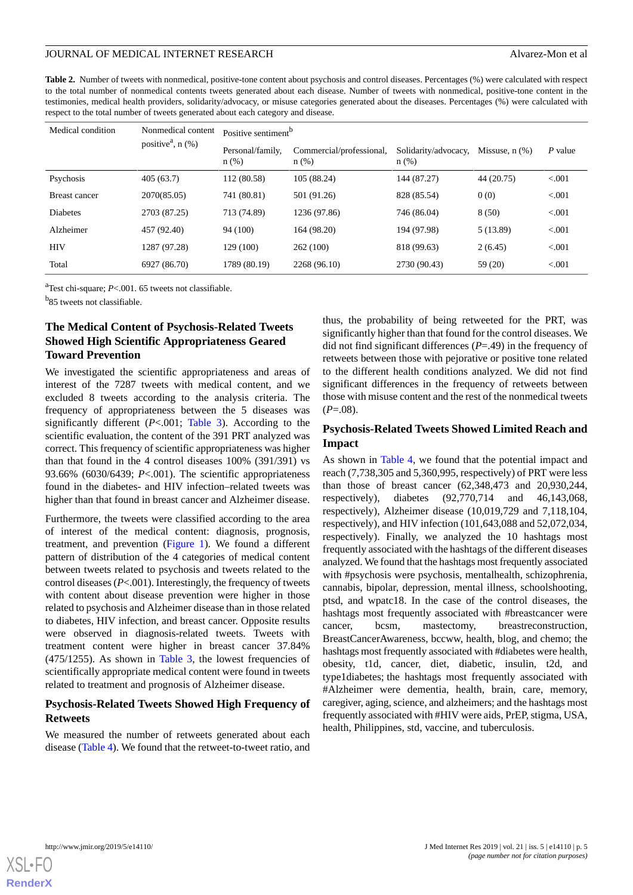<span id="page-4-0"></span>**Table 2.** Number of tweets with nonmedical, positive-tone content about psychosis and control diseases. Percentages (%) were calculated with respect to the total number of nonmedical contents tweets generated about each disease. Number of tweets with nonmedical, positive-tone content in the testimonies, medical health providers, solidarity/advocacy, or misuse categories generated about the diseases. Percentages (%) were calculated with respect to the total number of tweets generated about each category and disease.

| Medical condition    | Nonmedical content<br>positive <sup>a</sup> , $n$ (%) | Positive sentiment <sup>b</sup> |                                     |                                 |                     |           |  |
|----------------------|-------------------------------------------------------|---------------------------------|-------------------------------------|---------------------------------|---------------------|-----------|--|
|                      |                                                       | Personal/family,<br>n(%)        | Commercial/professional,<br>$n$ (%) | Solidarity/advocacy,<br>$n$ (%) | Missuse, $n$ $(\%)$ | $P$ value |  |
| Psychosis            | 405(63.7)                                             | 112 (80.58)                     | 105 (88.24)                         | 144 (87.27)                     | 44 (20.75)          | < 0.001   |  |
| <b>Breast cancer</b> | 2070(85.05)                                           | 741 (80.81)                     | 501 (91.26)                         | 828 (85.54)                     | 0(0)                | < 0.001   |  |
| Diabetes             | 2703 (87.25)                                          | 713 (74.89)                     | 1236 (97.86)                        | 746 (86.04)                     | 8(50)               | < 0.001   |  |
| Alzheimer            | 457 (92.40)                                           | 94 (100)                        | 164 (98.20)                         | 194 (97.98)                     | 5(13.89)            | < 0.001   |  |
| <b>HIV</b>           | 1287 (97.28)                                          | 129 (100)                       | 262(100)                            | 818 (99.63)                     | 2(6.45)             | < 0.001   |  |
| Total                | 6927 (86.70)                                          | 1789 (80.19)                    | 2268 (96.10)                        | 2730 (90.43)                    | 59 (20)             | < 0.001   |  |

<sup>a</sup>Test chi-square; *P*<.001. 65 tweets not classifiable.

<sup>b</sup>85 tweets not classifiable.

# **The Medical Content of Psychosis-Related Tweets Showed High Scientific Appropriateness Geared Toward Prevention**

We investigated the scientific appropriateness and areas of interest of the 7287 tweets with medical content, and we excluded 8 tweets according to the analysis criteria. The frequency of appropriateness between the 5 diseases was significantly different (*P*<.001; [Table 3\)](#page-5-0). According to the scientific evaluation, the content of the 391 PRT analyzed was correct. This frequency of scientific appropriateness was higher than that found in the 4 control diseases 100% (391/391) vs 93.66% (6030/6439; *P*<.001). The scientific appropriateness found in the diabetes- and HIV infection–related tweets was higher than that found in breast cancer and Alzheimer disease.

Furthermore, the tweets were classified according to the area of interest of the medical content: diagnosis, prognosis, treatment, and prevention ([Figure 1](#page-3-1)). We found a different pattern of distribution of the 4 categories of medical content between tweets related to psychosis and tweets related to the control diseases (*P*<.001). Interestingly, the frequency of tweets with content about disease prevention were higher in those related to psychosis and Alzheimer disease than in those related to diabetes, HIV infection, and breast cancer. Opposite results were observed in diagnosis-related tweets. Tweets with treatment content were higher in breast cancer 37.84% (475/1255). As shown in [Table 3,](#page-5-0) the lowest frequencies of scientifically appropriate medical content were found in tweets related to treatment and prognosis of Alzheimer disease.

# **Psychosis-Related Tweets Showed High Frequency of Retweets**

We measured the number of retweets generated about each disease ([Table 4](#page-5-1)). We found that the retweet-to-tweet ratio, and thus, the probability of being retweeted for the PRT, was significantly higher than that found for the control diseases. We did not find significant differences  $(P=.49)$  in the frequency of retweets between those with pejorative or positive tone related to the different health conditions analyzed. We did not find significant differences in the frequency of retweets between those with misuse content and the rest of the nonmedical tweets  $(P=0.08)$ .

# **Psychosis-Related Tweets Showed Limited Reach and Impact**

As shown in [Table 4](#page-5-1), we found that the potential impact and reach (7,738,305 and 5,360,995, respectively) of PRT were less than those of breast cancer (62,348,473 and 20,930,244, respectively), diabetes (92,770,714 and 46,143,068, respectively), Alzheimer disease (10,019,729 and 7,118,104, respectively), and HIV infection (101,643,088 and 52,072,034, respectively). Finally, we analyzed the 10 hashtags most frequently associated with the hashtags of the different diseases analyzed. We found that the hashtags most frequently associated with #psychosis were psychosis, mentalhealth, schizophrenia, cannabis, bipolar, depression, mental illness, schoolshooting, ptsd, and wpatc18. In the case of the control diseases, the hashtags most frequently associated with #breastcancer were cancer, bcsm, mastectomy, breastreconstruction, BreastCancerAwareness, bccww, health, blog, and chemo; the hashtags most frequently associated with #diabetes were health, obesity, t1d, cancer, diet, diabetic, insulin, t2d, and type1diabetes; the hashtags most frequently associated with #Alzheimer were dementia, health, brain, care, memory, caregiver, aging, science, and alzheimers; and the hashtags most frequently associated with #HIV were aids, PrEP, stigma, USA, health, Philippines, std, vaccine, and tuberculosis.

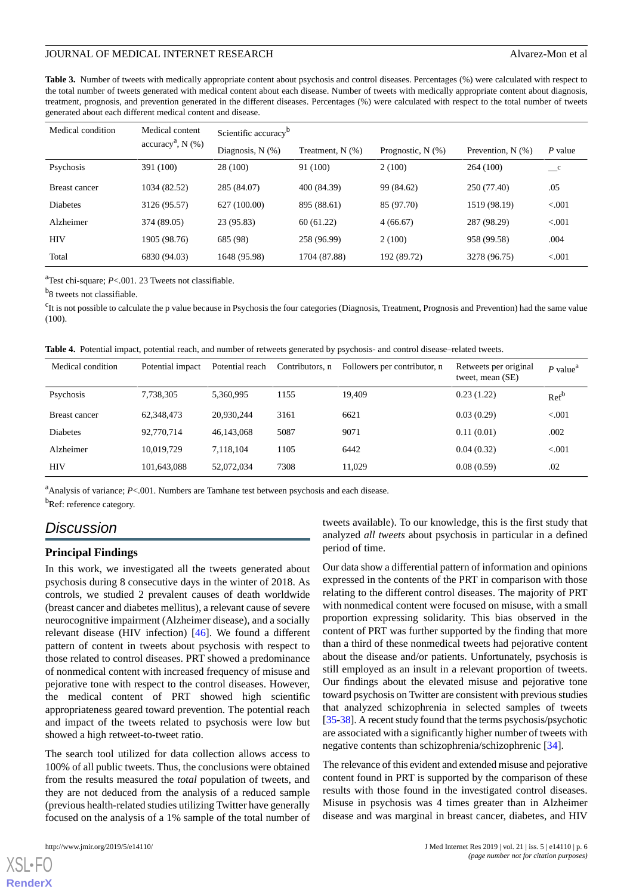<span id="page-5-0"></span>**Table 3.** Number of tweets with medically appropriate content about psychosis and control diseases. Percentages (%) were calculated with respect to the total number of tweets generated with medical content about each disease. Number of tweets with medically appropriate content about diagnosis, treatment, prognosis, and prevention generated in the different diseases. Percentages (%) were calculated with respect to the total number of tweets generated about each different medical content and disease.

| Medical condition | Medical content<br>$accuracya, N(\%)$ | Scientific accuracy <sup>b</sup> |                       |                        |                     |                                  |  |
|-------------------|---------------------------------------|----------------------------------|-----------------------|------------------------|---------------------|----------------------------------|--|
|                   |                                       | Diagnosis, $N$ $(\%)$            | Treatment, $N$ $(\%)$ | Prognostic, $N$ $(\%)$ | Prevention, $N(\%)$ | P value                          |  |
| Psychosis         | 391 (100)                             | 28 (100)                         | 91 (100)              | 2(100)                 | 264 (100)           | $\overline{\phantom{a}}^{\rm c}$ |  |
| Breast cancer     | 1034 (82.52)                          | 285 (84.07)                      | 400 (84.39)           | 99 (84.62)             | 250 (77.40)         | .05                              |  |
| Diabetes          | 3126 (95.57)                          | 627 (100.00)                     | 895 (88.61)           | 85 (97.70)             | 1519 (98.19)        | < 0.001                          |  |
| Alzheimer         | 374 (89.05)                           | 23 (95.83)                       | 60(61.22)             | 4(66.67)               | 287 (98.29)         | < 0.001                          |  |
| HIV               | 1905 (98.76)                          | 685 (98)                         | 258 (96.99)           | 2(100)                 | 958 (99.58)         | .004                             |  |
| Total             | 6830 (94.03)                          | 1648 (95.98)                     | 1704 (87.88)          | 192 (89.72)            | 3278 (96.75)        | < 0.001                          |  |

<sup>a</sup>Test chi-square; *P*<.001. 23 Tweets not classifiable.

<sup>b</sup>8 tweets not classifiable.

<span id="page-5-1"></span><sup>c</sup>It is not possible to calculate the p value because in Psychosis the four categories (Diagnosis, Treatment, Prognosis and Prevention) had the same value (100).

**Table 4.** Potential impact, potential reach, and number of retweets generated by psychosis- and control disease–related tweets.

| Medical condition | Potential impact | Potential reach | Contributors, n | Followers per contributor, n | Retweets per original<br>tweet, mean (SE) | $P$ value <sup>a</sup> |
|-------------------|------------------|-----------------|-----------------|------------------------------|-------------------------------------------|------------------------|
| Psychosis         | 7,738,305        | 5.360.995       | 1155            | 19.409                       | 0.23(1.22)                                | Ref <sup>b</sup>       |
| Breast cancer     | 62,348,473       | 20,930,244      | 3161            | 6621                         | 0.03(0.29)                                | < 0.001                |
| Diabetes          | 92,770,714       | 46,143,068      | 5087            | 9071                         | 0.11(0.01)                                | .002                   |
| Alzheimer         | 10.019.729       | 7.118.104       | 1105            | 6442                         | 0.04(0.32)                                | < 0.001                |
| <b>HIV</b>        | 101,643,088      | 52,072,034      | 7308            | 11.029                       | 0.08(0.59)                                | .02                    |

<sup>a</sup>Analysis of variance;  $P < 0.001$ . Numbers are Tamhane test between psychosis and each disease.

b<sub>Ref: reference category.</sub>

# *Discussion*

#### **Principal Findings**

In this work, we investigated all the tweets generated about psychosis during 8 consecutive days in the winter of 2018. As controls, we studied 2 prevalent causes of death worldwide (breast cancer and diabetes mellitus), a relevant cause of severe neurocognitive impairment (Alzheimer disease), and a socially relevant disease (HIV infection) [[46\]](#page-9-8). We found a different pattern of content in tweets about psychosis with respect to those related to control diseases. PRT showed a predominance of nonmedical content with increased frequency of misuse and pejorative tone with respect to the control diseases. However, the medical content of PRT showed high scientific appropriateness geared toward prevention. The potential reach and impact of the tweets related to psychosis were low but showed a high retweet-to-tweet ratio.

The search tool utilized for data collection allows access to 100% of all public tweets. Thus, the conclusions were obtained from the results measured the *total* population of tweets, and they are not deduced from the analysis of a reduced sample (previous health-related studies utilizing Twitter have generally focused on the analysis of a 1% sample of the total number of

[XSL](http://www.w3.org/Style/XSL)•FO **[RenderX](http://www.renderx.com/)**

tweets available). To our knowledge, this is the first study that analyzed *all tweets* about psychosis in particular in a defined period of time.

Our data show a differential pattern of information and opinions expressed in the contents of the PRT in comparison with those relating to the different control diseases. The majority of PRT with nonmedical content were focused on misuse, with a small proportion expressing solidarity. This bias observed in the content of PRT was further supported by the finding that more than a third of these nonmedical tweets had pejorative content about the disease and/or patients. Unfortunately, psychosis is still employed as an insult in a relevant proportion of tweets. Our findings about the elevated misuse and pejorative tone toward psychosis on Twitter are consistent with previous studies that analyzed schizophrenia in selected samples of tweets [[35-](#page-9-9)[38\]](#page-9-10). A recent study found that the terms psychosis/psychotic are associated with a significantly higher number of tweets with negative contents than schizophrenia/schizophrenic [[34\]](#page-9-1).

The relevance of this evident and extended misuse and pejorative content found in PRT is supported by the comparison of these results with those found in the investigated control diseases. Misuse in psychosis was 4 times greater than in Alzheimer disease and was marginal in breast cancer, diabetes, and HIV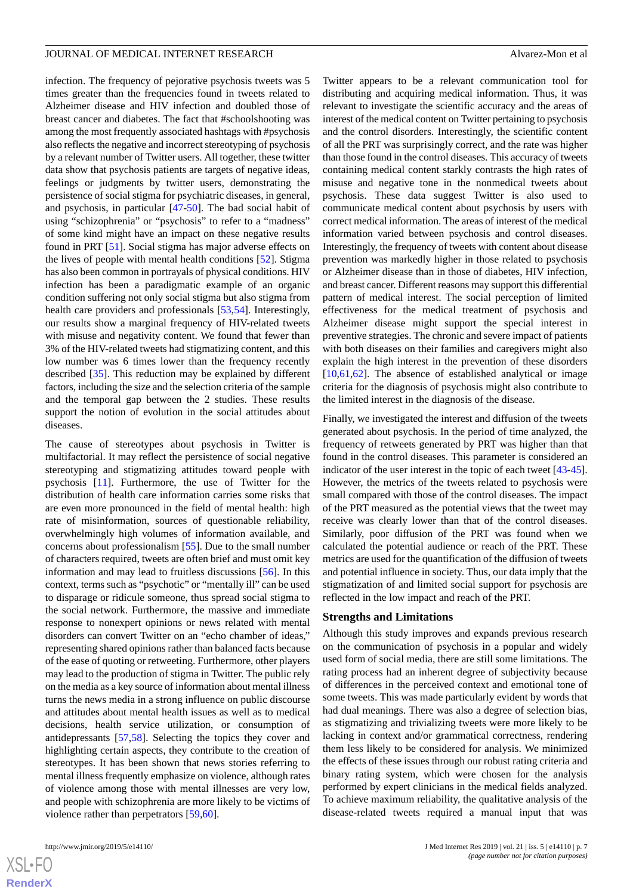infection. The frequency of pejorative psychosis tweets was 5 times greater than the frequencies found in tweets related to Alzheimer disease and HIV infection and doubled those of breast cancer and diabetes. The fact that #schoolshooting was among the most frequently associated hashtags with #psychosis also reflects the negative and incorrect stereotyping of psychosis by a relevant number of Twitter users. All together, these twitter data show that psychosis patients are targets of negative ideas, feelings or judgments by twitter users, demonstrating the persistence of social stigma for psychiatric diseases, in general, and psychosis, in particular [\[47](#page-9-11)-[50\]](#page-9-12). The bad social habit of using "schizophrenia" or "psychosis" to refer to a "madness" of some kind might have an impact on these negative results found in PRT [\[51](#page-9-13)]. Social stigma has major adverse effects on the lives of people with mental health conditions [[52\]](#page-9-14). Stigma has also been common in portrayals of physical conditions. HIV infection has been a paradigmatic example of an organic condition suffering not only social stigma but also stigma from health care providers and professionals [[53,](#page-9-15)[54](#page-9-16)]. Interestingly, our results show a marginal frequency of HIV-related tweets with misuse and negativity content. We found that fewer than 3% of the HIV-related tweets had stigmatizing content, and this low number was 6 times lower than the frequency recently described [[35\]](#page-9-9). This reduction may be explained by different factors, including the size and the selection criteria of the sample and the temporal gap between the 2 studies. These results support the notion of evolution in the social attitudes about diseases.

The cause of stereotypes about psychosis in Twitter is multifactorial. It may reflect the persistence of social negative stereotyping and stigmatizing attitudes toward people with psychosis [\[11](#page-7-10)]. Furthermore, the use of Twitter for the distribution of health care information carries some risks that are even more pronounced in the field of mental health: high rate of misinformation, sources of questionable reliability, overwhelmingly high volumes of information available, and concerns about professionalism [\[55](#page-10-0)]. Due to the small number of characters required, tweets are often brief and must omit key information and may lead to fruitless discussions [\[56](#page-10-1)]. In this context, terms such as "psychotic" or "mentally ill" can be used to disparage or ridicule someone, thus spread social stigma to the social network. Furthermore, the massive and immediate response to nonexpert opinions or news related with mental disorders can convert Twitter on an "echo chamber of ideas," representing shared opinions rather than balanced facts because of the ease of quoting or retweeting. Furthermore, other players may lead to the production of stigma in Twitter. The public rely on the media as a key source of information about mental illness turns the news media in a strong influence on public discourse and attitudes about mental health issues as well as to medical decisions, health service utilization, or consumption of antidepressants [\[57](#page-10-2),[58\]](#page-10-3). Selecting the topics they cover and highlighting certain aspects, they contribute to the creation of stereotypes. It has been shown that news stories referring to mental illness frequently emphasize on violence, although rates of violence among those with mental illnesses are very low, and people with schizophrenia are more likely to be victims of violence rather than perpetrators [\[59](#page-10-4)[,60](#page-10-5)].

 $XS$ -FO **[RenderX](http://www.renderx.com/)**

Twitter appears to be a relevant communication tool for distributing and acquiring medical information. Thus, it was relevant to investigate the scientific accuracy and the areas of interest of the medical content on Twitter pertaining to psychosis and the control disorders. Interestingly, the scientific content of all the PRT was surprisingly correct, and the rate was higher than those found in the control diseases. This accuracy of tweets containing medical content starkly contrasts the high rates of misuse and negative tone in the nonmedical tweets about psychosis. These data suggest Twitter is also used to communicate medical content about psychosis by users with correct medical information. The areas of interest of the medical information varied between psychosis and control diseases. Interestingly, the frequency of tweets with content about disease prevention was markedly higher in those related to psychosis or Alzheimer disease than in those of diabetes, HIV infection, and breast cancer. Different reasons may support this differential pattern of medical interest. The social perception of limited effectiveness for the medical treatment of psychosis and Alzheimer disease might support the special interest in preventive strategies. The chronic and severe impact of patients with both diseases on their families and caregivers might also explain the high interest in the prevention of these disorders [[10,](#page-7-9)[61,](#page-10-6)[62\]](#page-10-7). The absence of established analytical or image criteria for the diagnosis of psychosis might also contribute to the limited interest in the diagnosis of the disease.

Finally, we investigated the interest and diffusion of the tweets generated about psychosis. In the period of time analyzed, the frequency of retweets generated by PRT was higher than that found in the control diseases. This parameter is considered an indicator of the user interest in the topic of each tweet [[43-](#page-9-6)[45\]](#page-9-7). However, the metrics of the tweets related to psychosis were small compared with those of the control diseases. The impact of the PRT measured as the potential views that the tweet may receive was clearly lower than that of the control diseases. Similarly, poor diffusion of the PRT was found when we calculated the potential audience or reach of the PRT. These metrics are used for the quantification of the diffusion of tweets and potential influence in society. Thus, our data imply that the stigmatization of and limited social support for psychosis are reflected in the low impact and reach of the PRT.

#### **Strengths and Limitations**

Although this study improves and expands previous research on the communication of psychosis in a popular and widely used form of social media, there are still some limitations. The rating process had an inherent degree of subjectivity because of differences in the perceived context and emotional tone of some tweets. This was made particularly evident by words that had dual meanings. There was also a degree of selection bias, as stigmatizing and trivializing tweets were more likely to be lacking in context and/or grammatical correctness, rendering them less likely to be considered for analysis. We minimized the effects of these issues through our robust rating criteria and binary rating system, which were chosen for the analysis performed by expert clinicians in the medical fields analyzed. To achieve maximum reliability, the qualitative analysis of the disease-related tweets required a manual input that was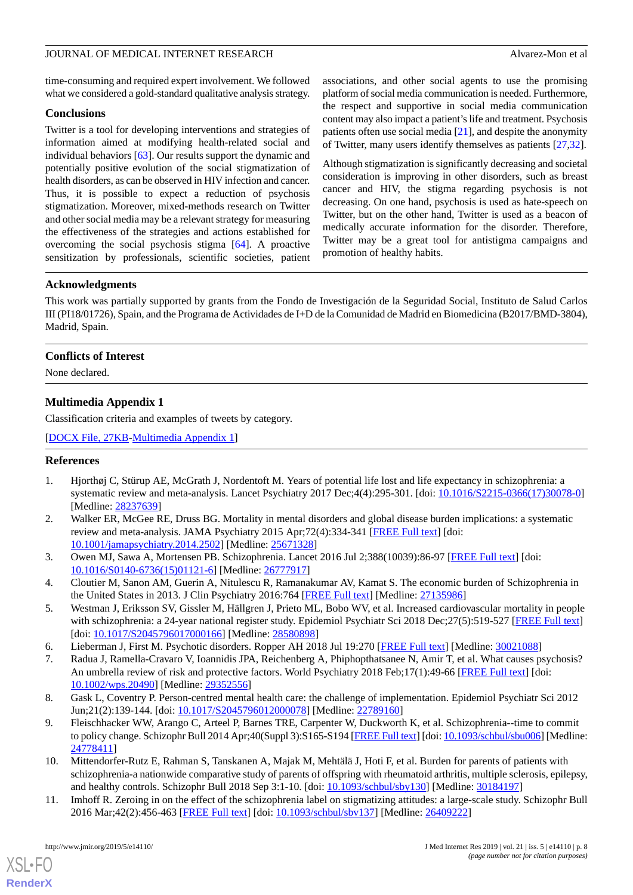time-consuming and required expert involvement. We followed what we considered a gold-standard qualitative analysis strategy.

#### **Conclusions**

Twitter is a tool for developing interventions and strategies of information aimed at modifying health-related social and individual behaviors [\[63](#page-10-8)]. Our results support the dynamic and potentially positive evolution of the social stigmatization of health disorders, as can be observed in HIV infection and cancer. Thus, it is possible to expect a reduction of psychosis stigmatization. Moreover, mixed-methods research on Twitter and other social media may be a relevant strategy for measuring the effectiveness of the strategies and actions established for overcoming the social psychosis stigma [\[64](#page-10-9)]. A proactive sensitization by professionals, scientific societies, patient

associations, and other social agents to use the promising platform of social media communication is needed. Furthermore, the respect and supportive in social media communication content may also impact a patient's life and treatment. Psychosis patients often use social media [[21\]](#page-8-8), and despite the anonymity of Twitter, many users identify themselves as patients [[27,](#page-8-13)[32\]](#page-8-14).

Although stigmatization is significantly decreasing and societal consideration is improving in other disorders, such as breast cancer and HIV, the stigma regarding psychosis is not decreasing. On one hand, psychosis is used as hate-speech on Twitter, but on the other hand, Twitter is used as a beacon of medically accurate information for the disorder. Therefore, Twitter may be a great tool for antistigma campaigns and promotion of healthy habits.

## **Acknowledgments**

This work was partially supported by grants from the Fondo de Investigación de la Seguridad Social, Instituto de Salud Carlos III (PI18/01726), Spain, and the Programa de Actividades de I+D de la Comunidad de Madrid en Biomedicina (B2017/BMD-3804), Madrid, Spain.

## <span id="page-7-11"></span>**Conflicts of Interest**

None declared.

# **Multimedia Appendix 1**

Classification criteria and examples of tweets by category.

<span id="page-7-0"></span>[[DOCX File, 27KB-Multimedia Appendix 1\]](https://jmir.org/api/download?alt_name=jmir_v21i5e14110_app1.docx&filename=39b74f436669fab2e149e780b2c30d04.docx)

# <span id="page-7-1"></span>**References**

- 1. Hjorthøj C, Stürup AE, McGrath J, Nordentoft M. Years of potential life lost and life expectancy in schizophrenia: a systematic review and meta-analysis. Lancet Psychiatry 2017 Dec;4(4):295-301. [doi: [10.1016/S2215-0366\(17\)30078-0](http://dx.doi.org/10.1016/S2215-0366(17)30078-0)] [Medline: [28237639](http://www.ncbi.nlm.nih.gov/entrez/query.fcgi?cmd=Retrieve&db=PubMed&list_uids=28237639&dopt=Abstract)]
- <span id="page-7-3"></span><span id="page-7-2"></span>2. Walker ER, McGee RE, Druss BG. Mortality in mental disorders and global disease burden implications: a systematic review and meta-analysis. JAMA Psychiatry 2015 Apr;72(4):334-341 [[FREE Full text](http://europepmc.org/abstract/MED/25671328)] [doi: [10.1001/jamapsychiatry.2014.2502](http://dx.doi.org/10.1001/jamapsychiatry.2014.2502)] [Medline: [25671328](http://www.ncbi.nlm.nih.gov/entrez/query.fcgi?cmd=Retrieve&db=PubMed&list_uids=25671328&dopt=Abstract)]
- <span id="page-7-4"></span>3. Owen MJ, Sawa A, Mortensen PB. Schizophrenia. Lancet 2016 Jul 2;388(10039):86-97 [\[FREE Full text\]](http://europepmc.org/abstract/MED/26777917) [doi: [10.1016/S0140-6736\(15\)01121-6\]](http://dx.doi.org/10.1016/S0140-6736(15)01121-6) [Medline: [26777917](http://www.ncbi.nlm.nih.gov/entrez/query.fcgi?cmd=Retrieve&db=PubMed&list_uids=26777917&dopt=Abstract)]
- <span id="page-7-6"></span><span id="page-7-5"></span>4. Cloutier M, Sanon AM, Guerin A, Nitulescu R, Ramanakumar AV, Kamat S. The economic burden of Schizophrenia in the United States in 2013. J Clin Psychiatry 2016:764 [\[FREE Full text\]](http://www.psychiatrist.com/jcp/article/pages/2016/v77n06/v77n0613.aspx) [Medline: [27135986](http://www.ncbi.nlm.nih.gov/entrez/query.fcgi?cmd=Retrieve&db=PubMed&list_uids=27135986&dopt=Abstract)]
- 5. Westman J, Eriksson SV, Gissler M, Hällgren J, Prieto ML, Bobo WV, et al. Increased cardiovascular mortality in people with schizophrenia: a 24-year national register study. Epidemiol Psychiatr Sci 2018 Dec;27(5):519-527 [[FREE Full text](http://europepmc.org/abstract/MED/28580898)] [doi: [10.1017/S2045796017000166\]](http://dx.doi.org/10.1017/S2045796017000166) [Medline: [28580898](http://www.ncbi.nlm.nih.gov/entrez/query.fcgi?cmd=Retrieve&db=PubMed&list_uids=28580898&dopt=Abstract)]
- <span id="page-7-8"></span><span id="page-7-7"></span>6. Lieberman J, First M. Psychotic disorders. Ropper AH 2018 Jul 19:270 [\[FREE Full text\]](http://www.nejm.org/doi/10.1056/NEJMra1801490) [Medline: [30021088](http://www.ncbi.nlm.nih.gov/entrez/query.fcgi?cmd=Retrieve&db=PubMed&list_uids=30021088&dopt=Abstract)]
- 7. Radua J, Ramella-Cravaro V, Ioannidis JPA, Reichenberg A, Phiphopthatsanee N, Amir T, et al. What causes psychosis? An umbrella review of risk and protective factors. World Psychiatry 2018 Feb;17(1):49-66 [[FREE Full text](https://doi.org/10.1002/wps.20490)] [doi: [10.1002/wps.20490](http://dx.doi.org/10.1002/wps.20490)] [Medline: [29352556](http://www.ncbi.nlm.nih.gov/entrez/query.fcgi?cmd=Retrieve&db=PubMed&list_uids=29352556&dopt=Abstract)]
- <span id="page-7-9"></span>8. Gask L, Coventry P. Person-centred mental health care: the challenge of implementation. Epidemiol Psychiatr Sci 2012 Jun;21(2):139-144. [doi: [10.1017/S2045796012000078](http://dx.doi.org/10.1017/S2045796012000078)] [Medline: [22789160\]](http://www.ncbi.nlm.nih.gov/entrez/query.fcgi?cmd=Retrieve&db=PubMed&list_uids=22789160&dopt=Abstract)
- <span id="page-7-10"></span>9. Fleischhacker WW, Arango C, Arteel P, Barnes TRE, Carpenter W, Duckworth K, et al. Schizophrenia--time to commit to policy change. Schizophr Bull 2014 Apr;40(Suppl 3):S165-S194 [\[FREE Full text\]](http://europepmc.org/abstract/MED/24778411) [doi: [10.1093/schbul/sbu006\]](http://dx.doi.org/10.1093/schbul/sbu006) [Medline: [24778411](http://www.ncbi.nlm.nih.gov/entrez/query.fcgi?cmd=Retrieve&db=PubMed&list_uids=24778411&dopt=Abstract)]
- 10. Mittendorfer-Rutz E, Rahman S, Tanskanen A, Majak M, Mehtälä J, Hoti F, et al. Burden for parents of patients with schizophrenia-a nationwide comparative study of parents of offspring with rheumatoid arthritis, multiple sclerosis, epilepsy, and healthy controls. Schizophr Bull 2018 Sep 3:1-10. [doi: [10.1093/schbul/sby130\]](http://dx.doi.org/10.1093/schbul/sby130) [Medline: [30184197](http://www.ncbi.nlm.nih.gov/entrez/query.fcgi?cmd=Retrieve&db=PubMed&list_uids=30184197&dopt=Abstract)]
- 11. Imhoff R. Zeroing in on the effect of the schizophrenia label on stigmatizing attitudes: a large-scale study. Schizophr Bull 2016 Mar;42(2):456-463 [\[FREE Full text](http://europepmc.org/abstract/MED/26409222)] [doi: [10.1093/schbul/sbv137](http://dx.doi.org/10.1093/schbul/sbv137)] [Medline: [26409222](http://www.ncbi.nlm.nih.gov/entrez/query.fcgi?cmd=Retrieve&db=PubMed&list_uids=26409222&dopt=Abstract)]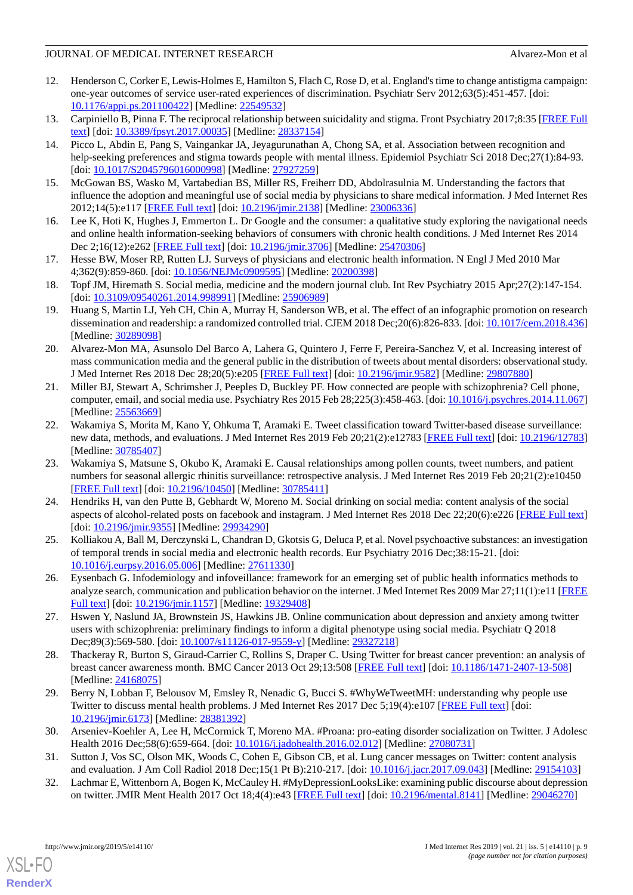## JOURNAL OF MEDICAL INTERNET RESEARCH Alvarez-Mon et al.

- <span id="page-8-0"></span>12. Henderson C, Corker E, Lewis-Holmes E, Hamilton S, Flach C, Rose D, et al. England's time to change antistigma campaign: one-year outcomes of service user-rated experiences of discrimination. Psychiatr Serv 2012;63(5):451-457. [doi: [10.1176/appi.ps.201100422\]](http://dx.doi.org/10.1176/appi.ps.201100422) [Medline: [22549532\]](http://www.ncbi.nlm.nih.gov/entrez/query.fcgi?cmd=Retrieve&db=PubMed&list_uids=22549532&dopt=Abstract)
- <span id="page-8-1"></span>13. Carpiniello B, Pinna F. The reciprocal relationship between suicidality and stigma. Front Psychiatry 2017;8:35 [\[FREE Full](https://dx.doi.org/10.3389/fpsyt.2017.00035) [text](https://dx.doi.org/10.3389/fpsyt.2017.00035)] [doi: [10.3389/fpsyt.2017.00035\]](http://dx.doi.org/10.3389/fpsyt.2017.00035) [Medline: [28337154\]](http://www.ncbi.nlm.nih.gov/entrez/query.fcgi?cmd=Retrieve&db=PubMed&list_uids=28337154&dopt=Abstract)
- 14. Picco L, Abdin E, Pang S, Vaingankar JA, Jeyagurunathan A, Chong SA, et al. Association between recognition and help-seeking preferences and stigma towards people with mental illness. Epidemiol Psychiatr Sci 2018 Dec;27(1):84-93. [doi: [10.1017/S2045796016000998\]](http://dx.doi.org/10.1017/S2045796016000998) [Medline: [27927259](http://www.ncbi.nlm.nih.gov/entrez/query.fcgi?cmd=Retrieve&db=PubMed&list_uids=27927259&dopt=Abstract)]
- <span id="page-8-3"></span><span id="page-8-2"></span>15. McGowan BS, Wasko M, Vartabedian BS, Miller RS, Freiherr DD, Abdolrasulnia M. Understanding the factors that influence the adoption and meaningful use of social media by physicians to share medical information. J Med Internet Res 2012;14(5):e117 [\[FREE Full text](http://www.jmir.org/2012/5/e117/)] [doi: [10.2196/jmir.2138](http://dx.doi.org/10.2196/jmir.2138)] [Medline: [23006336](http://www.ncbi.nlm.nih.gov/entrez/query.fcgi?cmd=Retrieve&db=PubMed&list_uids=23006336&dopt=Abstract)]
- <span id="page-8-4"></span>16. Lee K, Hoti K, Hughes J, Emmerton L. Dr Google and the consumer: a qualitative study exploring the navigational needs and online health information-seeking behaviors of consumers with chronic health conditions. J Med Internet Res 2014 Dec 2;16(12):e262 [[FREE Full text](http://www.jmir.org/2014/12/e262/)] [doi: [10.2196/jmir.3706](http://dx.doi.org/10.2196/jmir.3706)] [Medline: [25470306\]](http://www.ncbi.nlm.nih.gov/entrez/query.fcgi?cmd=Retrieve&db=PubMed&list_uids=25470306&dopt=Abstract)
- <span id="page-8-5"></span>17. Hesse BW, Moser RP, Rutten LJ. Surveys of physicians and electronic health information. N Engl J Med 2010 Mar 4;362(9):859-860. [doi: [10.1056/NEJMc0909595](http://dx.doi.org/10.1056/NEJMc0909595)] [Medline: [20200398](http://www.ncbi.nlm.nih.gov/entrez/query.fcgi?cmd=Retrieve&db=PubMed&list_uids=20200398&dopt=Abstract)]
- <span id="page-8-6"></span>18. Topf JM, Hiremath S. Social media, medicine and the modern journal club. Int Rev Psychiatry 2015 Apr;27(2):147-154. [doi: [10.3109/09540261.2014.998991](http://dx.doi.org/10.3109/09540261.2014.998991)] [Medline: [25906989\]](http://www.ncbi.nlm.nih.gov/entrez/query.fcgi?cmd=Retrieve&db=PubMed&list_uids=25906989&dopt=Abstract)
- <span id="page-8-7"></span>19. Huang S, Martin LJ, Yeh CH, Chin A, Murray H, Sanderson WB, et al. The effect of an infographic promotion on research dissemination and readership: a randomized controlled trial. CJEM 2018 Dec;20(6):826-833. [doi: [10.1017/cem.2018.436](http://dx.doi.org/10.1017/cem.2018.436)] [Medline: [30289098](http://www.ncbi.nlm.nih.gov/entrez/query.fcgi?cmd=Retrieve&db=PubMed&list_uids=30289098&dopt=Abstract)]
- <span id="page-8-8"></span>20. Alvarez-Mon MA, Asunsolo Del Barco A, Lahera G, Quintero J, Ferre F, Pereira-Sanchez V, et al. Increasing interest of mass communication media and the general public in the distribution of tweets about mental disorders: observational study. J Med Internet Res 2018 Dec 28;20(5):e205 [\[FREE Full text\]](http://www.jmir.org/2018/5/e205/) [doi: [10.2196/jmir.9582\]](http://dx.doi.org/10.2196/jmir.9582) [Medline: [29807880\]](http://www.ncbi.nlm.nih.gov/entrez/query.fcgi?cmd=Retrieve&db=PubMed&list_uids=29807880&dopt=Abstract)
- <span id="page-8-9"></span>21. Miller BJ, Stewart A, Schrimsher J, Peeples D, Buckley PF. How connected are people with schizophrenia? Cell phone, computer, email, and social media use. Psychiatry Res 2015 Feb 28;225(3):458-463. [doi: [10.1016/j.psychres.2014.11.067](http://dx.doi.org/10.1016/j.psychres.2014.11.067)] [Medline: [25563669](http://www.ncbi.nlm.nih.gov/entrez/query.fcgi?cmd=Retrieve&db=PubMed&list_uids=25563669&dopt=Abstract)]
- <span id="page-8-10"></span>22. Wakamiya S, Morita M, Kano Y, Ohkuma T, Aramaki E. Tweet classification toward Twitter-based disease surveillance: new data, methods, and evaluations. J Med Internet Res 2019 Feb 20;21(2):e12783 [\[FREE Full text](http://www.jmir.org/2019/2/e12783/)] [doi: [10.2196/12783](http://dx.doi.org/10.2196/12783)] [Medline: [30785407](http://www.ncbi.nlm.nih.gov/entrez/query.fcgi?cmd=Retrieve&db=PubMed&list_uids=30785407&dopt=Abstract)]
- 23. Wakamiya S, Matsune S, Okubo K, Aramaki E. Causal relationships among pollen counts, tweet numbers, and patient numbers for seasonal allergic rhinitis surveillance: retrospective analysis. J Med Internet Res 2019 Feb 20;21(2):e10450 [[FREE Full text](http://www.jmir.org/2019/2/e10450/)] [doi: [10.2196/10450\]](http://dx.doi.org/10.2196/10450) [Medline: [30785411\]](http://www.ncbi.nlm.nih.gov/entrez/query.fcgi?cmd=Retrieve&db=PubMed&list_uids=30785411&dopt=Abstract)
- <span id="page-8-11"></span>24. Hendriks H, van den Putte B, Gebhardt W, Moreno M. Social drinking on social media: content analysis of the social aspects of alcohol-related posts on facebook and instagram. J Med Internet Res 2018 Dec 22;20(6):e226 [\[FREE Full text](http://www.jmir.org/2018/6/e226/)] [doi: [10.2196/jmir.9355\]](http://dx.doi.org/10.2196/jmir.9355) [Medline: [29934290\]](http://www.ncbi.nlm.nih.gov/entrez/query.fcgi?cmd=Retrieve&db=PubMed&list_uids=29934290&dopt=Abstract)
- <span id="page-8-13"></span><span id="page-8-12"></span>25. Kolliakou A, Ball M, Derczynski L, Chandran D, Gkotsis G, Deluca P, et al. Novel psychoactive substances: an investigation of temporal trends in social media and electronic health records. Eur Psychiatry 2016 Dec;38:15-21. [doi: [10.1016/j.eurpsy.2016.05.006\]](http://dx.doi.org/10.1016/j.eurpsy.2016.05.006) [Medline: [27611330](http://www.ncbi.nlm.nih.gov/entrez/query.fcgi?cmd=Retrieve&db=PubMed&list_uids=27611330&dopt=Abstract)]
- 26. Eysenbach G. Infodemiology and infoveillance: framework for an emerging set of public health informatics methods to analyze search, communication and publication behavior on the internet. J Med Internet Res 2009 Mar  $27;11(1):e11$  [\[FREE](http://www.jmir.org/2009/1/e11/) [Full text\]](http://www.jmir.org/2009/1/e11/) [doi: [10.2196/jmir.1157](http://dx.doi.org/10.2196/jmir.1157)] [Medline: [19329408\]](http://www.ncbi.nlm.nih.gov/entrez/query.fcgi?cmd=Retrieve&db=PubMed&list_uids=19329408&dopt=Abstract)
- 27. Hswen Y, Naslund JA, Brownstein JS, Hawkins JB. Online communication about depression and anxiety among twitter users with schizophrenia: preliminary findings to inform a digital phenotype using social media. Psychiatr Q 2018 Dec;89(3):569-580. [doi: [10.1007/s11126-017-9559-y\]](http://dx.doi.org/10.1007/s11126-017-9559-y) [Medline: [29327218\]](http://www.ncbi.nlm.nih.gov/entrez/query.fcgi?cmd=Retrieve&db=PubMed&list_uids=29327218&dopt=Abstract)
- 28. Thackeray R, Burton S, Giraud-Carrier C, Rollins S, Draper C. Using Twitter for breast cancer prevention: an analysis of breast cancer awareness month. BMC Cancer 2013 Oct 29;13:508 [[FREE Full text](https://bmccancer.biomedcentral.com/articles/10.1186/1471-2407-13-508)] [doi: [10.1186/1471-2407-13-508\]](http://dx.doi.org/10.1186/1471-2407-13-508) [Medline: [24168075](http://www.ncbi.nlm.nih.gov/entrez/query.fcgi?cmd=Retrieve&db=PubMed&list_uids=24168075&dopt=Abstract)]
- <span id="page-8-14"></span>29. Berry N, Lobban F, Belousov M, Emsley R, Nenadic G, Bucci S. #WhyWeTweetMH: understanding why people use Twitter to discuss mental health problems. J Med Internet Res 2017 Dec 5;19(4):e107 [\[FREE Full text\]](http://www.jmir.org/2017/4/e107/) [doi: [10.2196/jmir.6173](http://dx.doi.org/10.2196/jmir.6173)] [Medline: [28381392](http://www.ncbi.nlm.nih.gov/entrez/query.fcgi?cmd=Retrieve&db=PubMed&list_uids=28381392&dopt=Abstract)]
- 30. Arseniev-Koehler A, Lee H, McCormick T, Moreno MA. #Proana: pro-eating disorder socialization on Twitter. J Adolesc Health 2016 Dec;58(6):659-664. [doi: [10.1016/j.jadohealth.2016.02.012\]](http://dx.doi.org/10.1016/j.jadohealth.2016.02.012) [Medline: [27080731\]](http://www.ncbi.nlm.nih.gov/entrez/query.fcgi?cmd=Retrieve&db=PubMed&list_uids=27080731&dopt=Abstract)
- 31. Sutton J, Vos SC, Olson MK, Woods C, Cohen E, Gibson CB, et al. Lung cancer messages on Twitter: content analysis and evaluation. J Am Coll Radiol 2018 Dec;15(1 Pt B):210-217. [doi: [10.1016/j.jacr.2017.09.043\]](http://dx.doi.org/10.1016/j.jacr.2017.09.043) [Medline: [29154103](http://www.ncbi.nlm.nih.gov/entrez/query.fcgi?cmd=Retrieve&db=PubMed&list_uids=29154103&dopt=Abstract)]
- 32. Lachmar E, Wittenborn A, Bogen K, McCauley H. #MyDepressionLooksLike: examining public discourse about depression on twitter. JMIR Ment Health 2017 Oct 18;4(4):e43 [[FREE Full text\]](http://mental.jmir.org/2017/4/e43/) [doi: [10.2196/mental.8141](http://dx.doi.org/10.2196/mental.8141)] [Medline: [29046270\]](http://www.ncbi.nlm.nih.gov/entrez/query.fcgi?cmd=Retrieve&db=PubMed&list_uids=29046270&dopt=Abstract)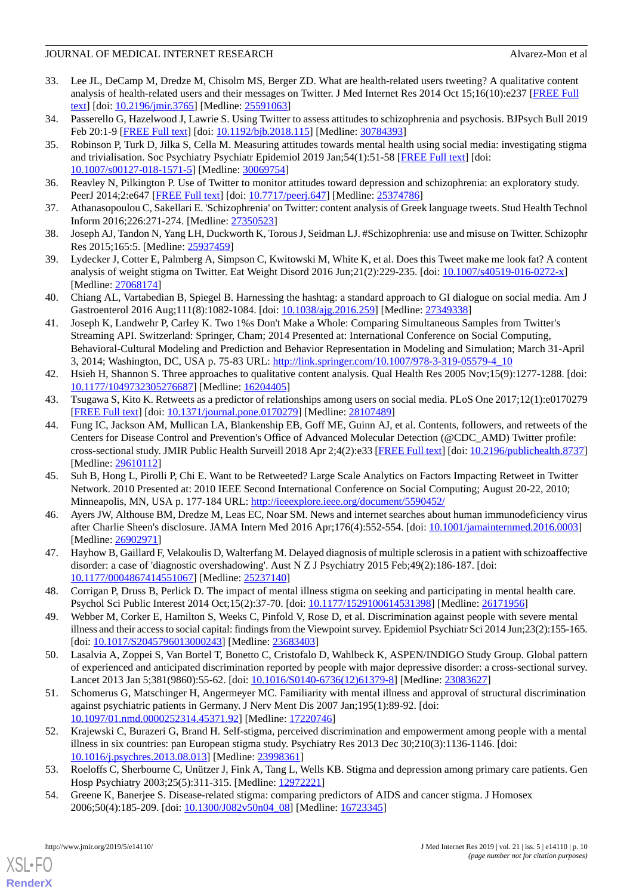# JOURNAL OF MEDICAL INTERNET RESEARCH Alvarez-Mon et al.

- <span id="page-9-0"></span>33. Lee JL, DeCamp M, Dredze M, Chisolm MS, Berger ZD. What are health-related users tweeting? A qualitative content analysis of health-related users and their messages on Twitter. J Med Internet Res 2014 Oct 15;16(10):e237 [[FREE Full](http://www.jmir.org/2014/10/e237/) [text](http://www.jmir.org/2014/10/e237/)] [doi: [10.2196/jmir.3765](http://dx.doi.org/10.2196/jmir.3765)] [Medline: [25591063](http://www.ncbi.nlm.nih.gov/entrez/query.fcgi?cmd=Retrieve&db=PubMed&list_uids=25591063&dopt=Abstract)]
- <span id="page-9-9"></span><span id="page-9-1"></span>34. Passerello G, Hazelwood J, Lawrie S. Using Twitter to assess attitudes to schizophrenia and psychosis. BJPsych Bull 2019 Feb 20:1-9 [[FREE Full text](https://www.cambridge.org/core/product/identifier/S2056469418001158/type/journal_article)] [doi: [10.1192/bjb.2018.115](http://dx.doi.org/10.1192/bjb.2018.115)] [Medline: [30784393](http://www.ncbi.nlm.nih.gov/entrez/query.fcgi?cmd=Retrieve&db=PubMed&list_uids=30784393&dopt=Abstract)]
- 35. Robinson P, Turk D, Jilka S, Cella M. Measuring attitudes towards mental health using social media: investigating stigma and trivialisation. Soc Psychiatry Psychiatr Epidemiol 2019 Jan;54(1):51-58 [\[FREE Full text\]](http://europepmc.org/abstract/MED/30069754) [doi: [10.1007/s00127-018-1571-5\]](http://dx.doi.org/10.1007/s00127-018-1571-5) [Medline: [30069754](http://www.ncbi.nlm.nih.gov/entrez/query.fcgi?cmd=Retrieve&db=PubMed&list_uids=30069754&dopt=Abstract)]
- 36. Reavley N, Pilkington P. Use of Twitter to monitor attitudes toward depression and schizophrenia: an exploratory study. PeerJ 2014;2:e647 [\[FREE Full text\]](https://doi.org/10.7717/peerj.647) [doi: [10.7717/peerj.647\]](http://dx.doi.org/10.7717/peerj.647) [Medline: [25374786\]](http://www.ncbi.nlm.nih.gov/entrez/query.fcgi?cmd=Retrieve&db=PubMed&list_uids=25374786&dopt=Abstract)
- <span id="page-9-10"></span>37. Athanasopoulou C, Sakellari E. 'Schizophrenia' on Twitter: content analysis of Greek language tweets. Stud Health Technol Inform 2016;226:271-274. [Medline: [27350523\]](http://www.ncbi.nlm.nih.gov/entrez/query.fcgi?cmd=Retrieve&db=PubMed&list_uids=27350523&dopt=Abstract)
- <span id="page-9-2"></span>38. Joseph AJ, Tandon N, Yang LH, Duckworth K, Torous J, Seidman LJ. #Schizophrenia: use and misuse on Twitter. Schizophr Res 2015;165:5. [Medline: [25937459](http://www.ncbi.nlm.nih.gov/entrez/query.fcgi?cmd=Retrieve&db=PubMed&list_uids=25937459&dopt=Abstract)]
- <span id="page-9-3"></span>39. Lydecker J, Cotter E, Palmberg A, Simpson C, Kwitowski M, White K, et al. Does this Tweet make me look fat? A content analysis of weight stigma on Twitter. Eat Weight Disord 2016 Jun;21(2):229-235. [doi: [10.1007/s40519-016-0272-x\]](http://dx.doi.org/10.1007/s40519-016-0272-x) [Medline: [27068174](http://www.ncbi.nlm.nih.gov/entrez/query.fcgi?cmd=Retrieve&db=PubMed&list_uids=27068174&dopt=Abstract)]
- <span id="page-9-4"></span>40. Chiang AL, Vartabedian B, Spiegel B. Harnessing the hashtag: a standard approach to GI dialogue on social media. Am J Gastroenterol 2016 Aug;111(8):1082-1084. [doi: [10.1038/ajg.2016.259\]](http://dx.doi.org/10.1038/ajg.2016.259) [Medline: [27349338](http://www.ncbi.nlm.nih.gov/entrez/query.fcgi?cmd=Retrieve&db=PubMed&list_uids=27349338&dopt=Abstract)]
- <span id="page-9-5"></span>41. Joseph K, Landwehr P, Carley K. Two 1%s Don't Make a Whole: Comparing Simultaneous Samples from Twitter's Streaming API. Switzerland: Springer, Cham; 2014 Presented at: International Conference on Social Computing, Behavioral-Cultural Modeling and Prediction and Behavior Representation in Modeling and Simulation; March 31-April 3, 2014; Washington, DC, USA p. 75-83 URL: [http://link.springer.com/10.1007/978-3-319-05579-4\\_10](http://link.springer.com/10.1007/978-3-319-05579-4_10)
- <span id="page-9-6"></span>42. Hsieh H, Shannon S. Three approaches to qualitative content analysis. Qual Health Res 2005 Nov;15(9):1277-1288. [doi: [10.1177/1049732305276687\]](http://dx.doi.org/10.1177/1049732305276687) [Medline: [16204405\]](http://www.ncbi.nlm.nih.gov/entrez/query.fcgi?cmd=Retrieve&db=PubMed&list_uids=16204405&dopt=Abstract)
- 43. Tsugawa S, Kito K. Retweets as a predictor of relationships among users on social media. PLoS One 2017;12(1):e0170279 [[FREE Full text](http://dx.plos.org/10.1371/journal.pone.0170279)] [doi: [10.1371/journal.pone.0170279](http://dx.doi.org/10.1371/journal.pone.0170279)] [Medline: [28107489](http://www.ncbi.nlm.nih.gov/entrez/query.fcgi?cmd=Retrieve&db=PubMed&list_uids=28107489&dopt=Abstract)]
- <span id="page-9-7"></span>44. Fung IC, Jackson AM, Mullican LA, Blankenship EB, Goff ME, Guinn AJ, et al. Contents, followers, and retweets of the Centers for Disease Control and Prevention's Office of Advanced Molecular Detection (@CDC\_AMD) Twitter profile: cross-sectional study. JMIR Public Health Surveill 2018 Apr 2;4(2):e33 [[FREE Full text\]](http://publichealth.jmir.org/2018/2/e33/) [doi: [10.2196/publichealth.8737](http://dx.doi.org/10.2196/publichealth.8737)] [Medline: [29610112](http://www.ncbi.nlm.nih.gov/entrez/query.fcgi?cmd=Retrieve&db=PubMed&list_uids=29610112&dopt=Abstract)]
- <span id="page-9-8"></span>45. Suh B, Hong L, Pirolli P, Chi E. Want to be Retweeted? Large Scale Analytics on Factors Impacting Retweet in Twitter Network. 2010 Presented at: 2010 IEEE Second International Conference on Social Computing; August 20-22, 2010; Minneapolis, MN, USA p. 177-184 URL:<http://ieeexplore.ieee.org/document/5590452/>
- <span id="page-9-11"></span>46. Ayers JW, Althouse BM, Dredze M, Leas EC, Noar SM. News and internet searches about human immunodeficiency virus after Charlie Sheen's disclosure. JAMA Intern Med 2016 Apr;176(4):552-554. [doi: [10.1001/jamainternmed.2016.0003](http://dx.doi.org/10.1001/jamainternmed.2016.0003)] [Medline: [26902971](http://www.ncbi.nlm.nih.gov/entrez/query.fcgi?cmd=Retrieve&db=PubMed&list_uids=26902971&dopt=Abstract)]
- 47. Hayhow B, Gaillard F, Velakoulis D, Walterfang M. Delayed diagnosis of multiple sclerosis in a patient with schizoaffective disorder: a case of 'diagnostic overshadowing'. Aust N Z J Psychiatry 2015 Feb;49(2):186-187. [doi: [10.1177/0004867414551067\]](http://dx.doi.org/10.1177/0004867414551067) [Medline: [25237140\]](http://www.ncbi.nlm.nih.gov/entrez/query.fcgi?cmd=Retrieve&db=PubMed&list_uids=25237140&dopt=Abstract)
- <span id="page-9-12"></span>48. Corrigan P, Druss B, Perlick D. The impact of mental illness stigma on seeking and participating in mental health care. Psychol Sci Public Interest 2014 Oct;15(2):37-70. [doi: [10.1177/1529100614531398\]](http://dx.doi.org/10.1177/1529100614531398) [Medline: [26171956\]](http://www.ncbi.nlm.nih.gov/entrez/query.fcgi?cmd=Retrieve&db=PubMed&list_uids=26171956&dopt=Abstract)
- <span id="page-9-13"></span>49. Webber M, Corker E, Hamilton S, Weeks C, Pinfold V, Rose D, et al. Discrimination against people with severe mental illness and their access to social capital: findings from the Viewpoint survey. Epidemiol Psychiatr Sci 2014 Jun;23(2):155-165. [doi: [10.1017/S2045796013000243\]](http://dx.doi.org/10.1017/S2045796013000243) [Medline: [23683403](http://www.ncbi.nlm.nih.gov/entrez/query.fcgi?cmd=Retrieve&db=PubMed&list_uids=23683403&dopt=Abstract)]
- <span id="page-9-14"></span>50. Lasalvia A, Zoppei S, Van Bortel T, Bonetto C, Cristofalo D, Wahlbeck K, ASPEN/INDIGO Study Group. Global pattern of experienced and anticipated discrimination reported by people with major depressive disorder: a cross-sectional survey. Lancet 2013 Jan 5;381(9860):55-62. [doi: [10.1016/S0140-6736\(12\)61379-8\]](http://dx.doi.org/10.1016/S0140-6736(12)61379-8) [Medline: [23083627](http://www.ncbi.nlm.nih.gov/entrez/query.fcgi?cmd=Retrieve&db=PubMed&list_uids=23083627&dopt=Abstract)]
- <span id="page-9-15"></span>51. Schomerus G, Matschinger H, Angermeyer MC. Familiarity with mental illness and approval of structural discrimination against psychiatric patients in Germany. J Nerv Ment Dis 2007 Jan;195(1):89-92. [doi: [10.1097/01.nmd.0000252314.45371.92\]](http://dx.doi.org/10.1097/01.nmd.0000252314.45371.92) [Medline: [17220746](http://www.ncbi.nlm.nih.gov/entrez/query.fcgi?cmd=Retrieve&db=PubMed&list_uids=17220746&dopt=Abstract)]
- <span id="page-9-16"></span>52. Krajewski C, Burazeri G, Brand H. Self-stigma, perceived discrimination and empowerment among people with a mental illness in six countries: pan European stigma study. Psychiatry Res 2013 Dec 30;210(3):1136-1146. [doi: [10.1016/j.psychres.2013.08.013\]](http://dx.doi.org/10.1016/j.psychres.2013.08.013) [Medline: [23998361](http://www.ncbi.nlm.nih.gov/entrez/query.fcgi?cmd=Retrieve&db=PubMed&list_uids=23998361&dopt=Abstract)]
- 53. Roeloffs C, Sherbourne C, Unützer J, Fink A, Tang L, Wells KB. Stigma and depression among primary care patients. Gen Hosp Psychiatry 2003;25(5):311-315. [Medline: [12972221](http://www.ncbi.nlm.nih.gov/entrez/query.fcgi?cmd=Retrieve&db=PubMed&list_uids=12972221&dopt=Abstract)]
- 54. Greene K, Banerjee S. Disease-related stigma: comparing predictors of AIDS and cancer stigma. J Homosex 2006;50(4):185-209. [doi: [10.1300/J082v50n04\\_08\]](http://dx.doi.org/10.1300/J082v50n04_08) [Medline: [16723345](http://www.ncbi.nlm.nih.gov/entrez/query.fcgi?cmd=Retrieve&db=PubMed&list_uids=16723345&dopt=Abstract)]